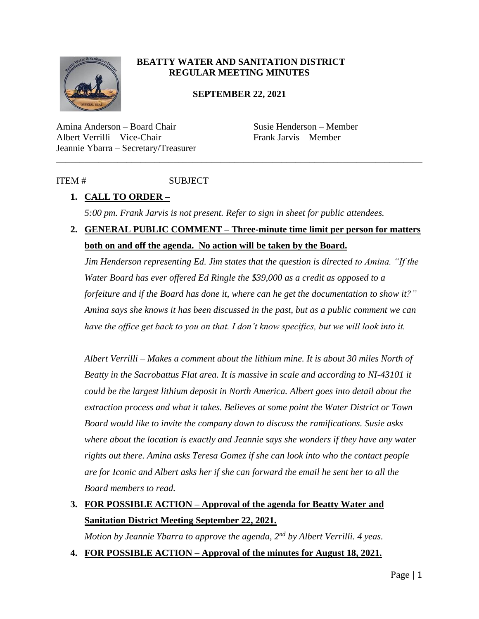

#### **BEATTY WATER AND SANITATION DISTRICT REGULAR MEETING MINUTES**

#### **SEPTEMBER 22, 2021**

\_\_\_\_\_\_\_\_\_\_\_\_\_\_\_\_\_\_\_\_\_\_\_\_\_\_\_\_\_\_\_\_\_\_\_\_\_\_\_\_\_\_\_\_\_\_\_\_\_\_\_\_\_\_\_\_\_\_\_\_\_\_\_\_\_\_\_\_\_\_\_\_\_\_\_\_\_\_

Amina Anderson – Board Chair Susie Henderson – Member Albert Verrilli – Vice-Chair Frank Jarvis – Member Jeannie Ybarra – Secretary/Treasurer

### ITEM # SUBJECT

### **1. CALL TO ORDER –**

*5:00 pm. Frank Jarvis is not present. Refer to sign in sheet for public attendees.* 

## **2. GENERAL PUBLIC COMMENT – Three-minute time limit per person for matters both on and off the agenda. No action will be taken by the Board.**

*Jim Henderson representing Ed. Jim states that the question is directed to Amina. "If the Water Board has ever offered Ed Ringle the \$39,000 as a credit as opposed to a forfeiture and if the Board has done it, where can he get the documentation to show it?" Amina says she knows it has been discussed in the past, but as a public comment we can have the office get back to you on that. I don't know specifics, but we will look into it.* 

*Albert Verrilli – Makes a comment about the lithium mine. It is about 30 miles North of Beatty in the Sacrobattus Flat area. It is massive in scale and according to NI-43101 it could be the largest lithium deposit in North America. Albert goes into detail about the extraction process and what it takes. Believes at some point the Water District or Town Board would like to invite the company down to discuss the ramifications. Susie asks where about the location is exactly and Jeannie says she wonders if they have any water rights out there. Amina asks Teresa Gomez if she can look into who the contact people are for Iconic and Albert asks her if she can forward the email he sent her to all the Board members to read.* 

## **3. FOR POSSIBLE ACTION – Approval of the agenda for Beatty Water and Sanitation District Meeting September 22, 2021.**

*Motion by Jeannie Ybarra to approve the agenda, 2nd by Albert Verrilli. 4 yeas.* 

**4. FOR POSSIBLE ACTION – Approval of the minutes for August 18, 2021.**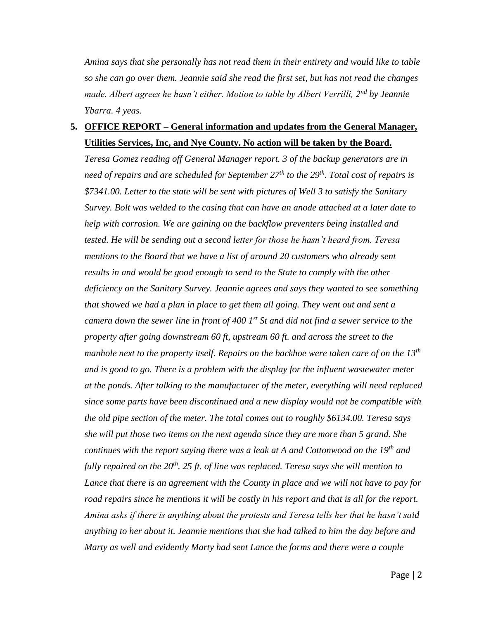*Amina says that she personally has not read them in their entirety and would like to table so she can go over them. Jeannie said she read the first set, but has not read the changes made. Albert agrees he hasn't either. Motion to table by Albert Verrilli, 2nd by Jeannie Ybarra. 4 yeas.* 

### **5. OFFICE REPORT – General information and updates from the General Manager, Utilities Services, Inc, and Nye County. No action will be taken by the Board.**

*Teresa Gomez reading off General Manager report. 3 of the backup generators are in need of repairs and are scheduled for September 27th to the 29th. Total cost of repairs is \$7341.00. Letter to the state will be sent with pictures of Well 3 to satisfy the Sanitary Survey. Bolt was welded to the casing that can have an anode attached at a later date to help with corrosion. We are gaining on the backflow preventers being installed and tested. He will be sending out a second letter for those he hasn't heard from. Teresa mentions to the Board that we have a list of around 20 customers who already sent results in and would be good enough to send to the State to comply with the other deficiency on the Sanitary Survey. Jeannie agrees and says they wanted to see something that showed we had a plan in place to get them all going. They went out and sent a camera down the sewer line in front of 400 1st St and did not find a sewer service to the property after going downstream 60 ft, upstream 60 ft. and across the street to the manhole next to the property itself. Repairs on the backhoe were taken care of on the 13th and is good to go. There is a problem with the display for the influent wastewater meter at the ponds. After talking to the manufacturer of the meter, everything will need replaced since some parts have been discontinued and a new display would not be compatible with the old pipe section of the meter. The total comes out to roughly \$6134.00. Teresa says she will put those two items on the next agenda since they are more than 5 grand. She continues with the report saying there was a leak at A and Cottonwood on the 19th and fully repaired on the 20th. 25 ft. of line was replaced. Teresa says she will mention to Lance that there is an agreement with the County in place and we will not have to pay for road repairs since he mentions it will be costly in his report and that is all for the report. Amina asks if there is anything about the protests and Teresa tells her that he hasn't said anything to her about it. Jeannie mentions that she had talked to him the day before and Marty as well and evidently Marty had sent Lance the forms and there were a couple*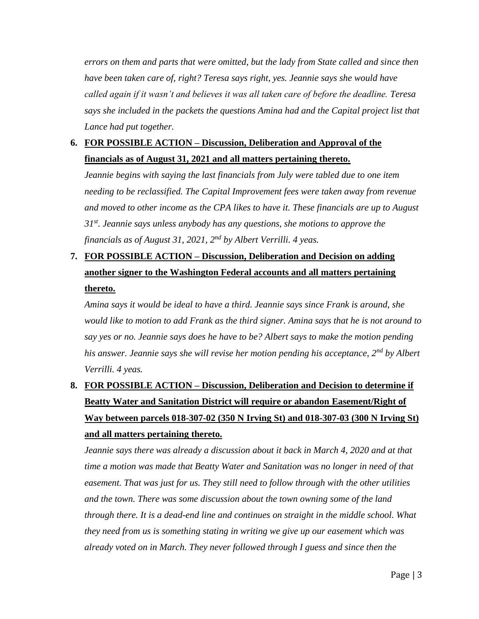*errors on them and parts that were omitted, but the lady from State called and since then have been taken care of, right? Teresa says right, yes. Jeannie says she would have called again if it wasn't and believes it was all taken care of before the deadline. Teresa*  says she included in the packets the questions Amina had and the Capital project list that *Lance had put together.* 

### **6. FOR POSSIBLE ACTION – Discussion, Deliberation and Approval of the financials as of August 31, 2021 and all matters pertaining thereto.**

*Jeannie begins with saying the last financials from July were tabled due to one item needing to be reclassified. The Capital Improvement fees were taken away from revenue and moved to other income as the CPA likes to have it. These financials are up to August 31st. Jeannie says unless anybody has any questions, she motions to approve the financials as of August 31, 2021, 2nd by Albert Verrilli. 4 yeas.* 

# **7. FOR POSSIBLE ACTION – Discussion, Deliberation and Decision on adding another signer to the Washington Federal accounts and all matters pertaining thereto.**

*Amina says it would be ideal to have a third. Jeannie says since Frank is around, she would like to motion to add Frank as the third signer. Amina says that he is not around to say yes or no. Jeannie says does he have to be? Albert says to make the motion pending his answer. Jeannie says she will revise her motion pending his acceptance, 2nd by Albert Verrilli. 4 yeas.* 

# **8. FOR POSSIBLE ACTION – Discussion, Deliberation and Decision to determine if Beatty Water and Sanitation District will require or abandon Easement/Right of Way between parcels 018-307-02 (350 N Irving St) and 018-307-03 (300 N Irving St) and all matters pertaining thereto.**

*Jeannie says there was already a discussion about it back in March 4, 2020 and at that time a motion was made that Beatty Water and Sanitation was no longer in need of that easement. That was just for us. They still need to follow through with the other utilities and the town. There was some discussion about the town owning some of the land through there. It is a dead-end line and continues on straight in the middle school. What they need from us is something stating in writing we give up our easement which was already voted on in March. They never followed through I guess and since then the*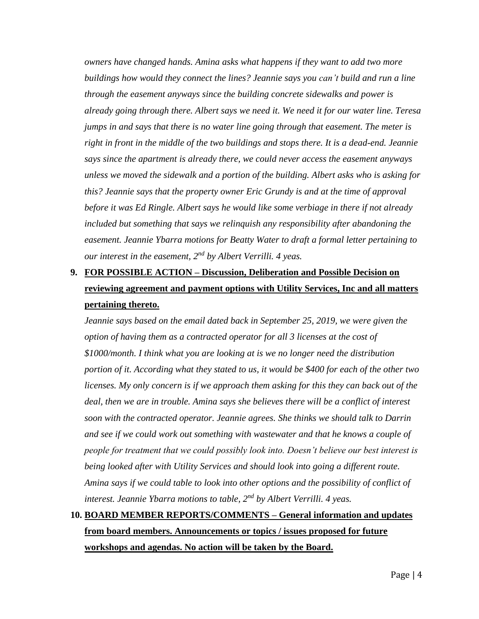*owners have changed hands. Amina asks what happens if they want to add two more buildings how would they connect the lines? Jeannie says you can't build and run a line through the easement anyways since the building concrete sidewalks and power is already going through there. Albert says we need it. We need it for our water line. Teresa jumps in and says that there is no water line going through that easement. The meter is right in front in the middle of the two buildings and stops there. It is a dead-end. Jeannie says since the apartment is already there, we could never access the easement anyways unless we moved the sidewalk and a portion of the building. Albert asks who is asking for this? Jeannie says that the property owner Eric Grundy is and at the time of approval before it was Ed Ringle. Albert says he would like some verbiage in there if not already included but something that says we relinquish any responsibility after abandoning the easement. Jeannie Ybarra motions for Beatty Water to draft a formal letter pertaining to our interest in the easement, 2nd by Albert Verrilli. 4 yeas.* 

# **9. FOR POSSIBLE ACTION – Discussion, Deliberation and Possible Decision on reviewing agreement and payment options with Utility Services, Inc and all matters pertaining thereto.**

*Jeannie says based on the email dated back in September 25, 2019, we were given the option of having them as a contracted operator for all 3 licenses at the cost of \$1000/month. I think what you are looking at is we no longer need the distribution portion of it. According what they stated to us, it would be \$400 for each of the other two licenses. My only concern is if we approach them asking for this they can back out of the deal, then we are in trouble. Amina says she believes there will be a conflict of interest soon with the contracted operator. Jeannie agrees. She thinks we should talk to Darrin and see if we could work out something with wastewater and that he knows a couple of people for treatment that we could possibly look into. Doesn't believe our best interest is being looked after with Utility Services and should look into going a different route. Amina says if we could table to look into other options and the possibility of conflict of interest. Jeannie Ybarra motions to table, 2nd by Albert Verrilli. 4 yeas.* 

# **10. BOARD MEMBER REPORTS/COMMENTS – General information and updates from board members. Announcements or topics / issues proposed for future workshops and agendas. No action will be taken by the Board.**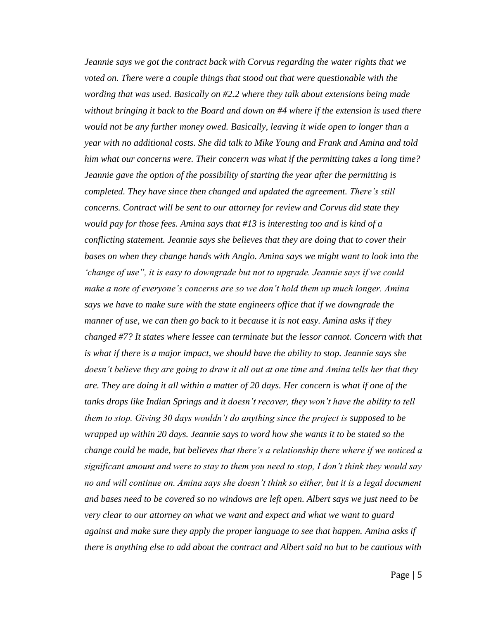*Jeannie says we got the contract back with Corvus regarding the water rights that we voted on. There were a couple things that stood out that were questionable with the wording that was used. Basically on #2.2 where they talk about extensions being made without bringing it back to the Board and down on #4 where if the extension is used there would not be any further money owed. Basically, leaving it wide open to longer than a year with no additional costs. She did talk to Mike Young and Frank and Amina and told him what our concerns were. Their concern was what if the permitting takes a long time? Jeannie gave the option of the possibility of starting the year after the permitting is completed. They have since then changed and updated the agreement. There's still concerns. Contract will be sent to our attorney for review and Corvus did state they would pay for those fees. Amina says that #13 is interesting too and is kind of a conflicting statement. Jeannie says she believes that they are doing that to cover their bases on when they change hands with Anglo. Amina says we might want to look into the 'change of use", it is easy to downgrade but not to upgrade. Jeannie says if we could make a note of everyone's concerns are so we don't hold them up much longer. Amina says we have to make sure with the state engineers office that if we downgrade the manner of use, we can then go back to it because it is not easy. Amina asks if they changed #7? It states where lessee can terminate but the lessor cannot. Concern with that is what if there is a major impact, we should have the ability to stop. Jeannie says she doesn't believe they are going to draw it all out at one time and Amina tells her that they are. They are doing it all within a matter of 20 days. Her concern is what if one of the tanks drops like Indian Springs and it doesn't recover, they won't have the ability to tell them to stop. Giving 30 days wouldn't do anything since the project is supposed to be wrapped up within 20 days. Jeannie says to word how she wants it to be stated so the change could be made, but believes that there's a relationship there where if we noticed a significant amount and were to stay to them you need to stop, I don't think they would say no and will continue on. Amina says she doesn't think so either, but it is a legal document and bases need to be covered so no windows are left open. Albert says we just need to be very clear to our attorney on what we want and expect and what we want to guard against and make sure they apply the proper language to see that happen. Amina asks if there is anything else to add about the contract and Albert said no but to be cautious with*